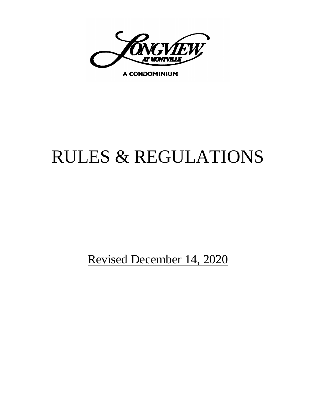

A CONDOMINIUM

# RULES & REGULATIONS

Revised December 14, 2020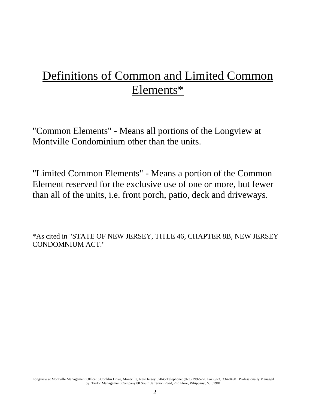# Definitions of Common and Limited Common Elements\*

"Common Elements" - Means all portions of the Longview at Montville Condominium other than the units.

"Limited Common Elements" - Means a portion of the Common Element reserved for the exclusive use of one or more, but fewer than all of the units, i.e. front porch, patio, deck and driveways.

\*As cited in "STATE OF NEW JERSEY, TITLE 46, CHAPTER 8B, NEW JERSEY CONDOMNIUM ACT."

Longview at Montville Management Office: 3 Conklin Drive, Montville, New Jersey 07045 Telephone: (973) 299-5220 Fax (973) 334-0498 Professionally Managed by: Taylor Management Company 80 South Jefferson Road, 2nd Floor, Whippany, NJ 07981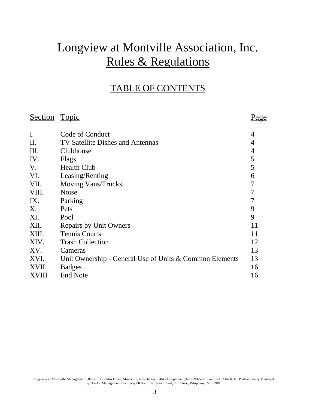# Longview at Montville Association, Inc. Rules & Regulations

# TABLE OF CONTENTS

#### Section Topic Page I. Code of Conduct 4 II. TV Satellite Dishes and Antennas 4 III. Clubhouse 4 IV. Flags 5 V. Health Club 5 VI. Leasing/Renting 6 VII. Moving Vans/Trucks 7 VIII. Noise 7 IX. Parking 7 X. Pets 9 XI. Pool 9 XII. Repairs by Unit Owners 11 XIII. Tennis Courts 11 XIV. XV. Trash Collection Cameras 12 13 XVI. Unit Ownership - General Use of Units & Common Elements 13 XVII. Badges 16 XVIII End Note 16

Longview at Montville Management Office: 3 Conklin Drive, Montville, New Jersey 07045 Telephone: (973) 299-5220 Fax (973) 334-0498 Professionally Managed by: Taylor Management Company 80 South Jefferson Road, 2nd Floor, Whippany, NJ 07981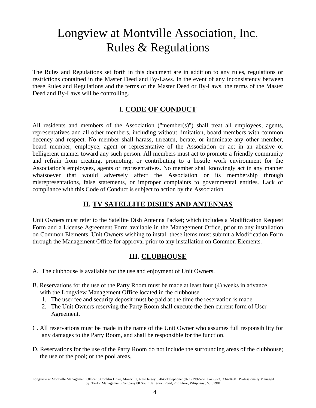# Longview at Montville Association, Inc. Rules & Regulations

The Rules and Regulations set forth in this document are in addition to any rules, regulations or restrictions contained in the Master Deed and By-Laws. In the event of any inconsistency between these Rules and Regulations and the terms of the Master Deed or By-Laws, the terms of the Master Deed and By-Laws will be controlling.

#### I. **CODE OF CONDUCT**

All residents and members of the Association ("member(s)") shall treat all employees, agents, representatives and all other members, including without limitation, board members with common decency and respect. No member shall harass, threaten, berate, or intimidate any other member, board member, employee, agent or representative of the Association or act in an abusive or belligerent manner toward any such person. All members must act to promote a friendly community and refrain from creating, promoting, or contributing to a hostile work environment for the Association's employees, agents or representatives. No member shall knowingly act in any manner whatsoever that would adversely affect the Association or its membership through misrepresentations, false statements, or improper complaints to governmental entities. Lack of compliance with this Code of Conduct is subject to action by the Association.

### **II. TV SATELLITE DISHES AND ANTENNAS**

Unit Owners must refer to the Satellite Dish Antenna Packet; which includes a Modification Request Form and a License Agreement Form available in the Management Office, prior to any installation on Common Elements. Unit Owners wishing to install these items must submit a Modification Form through the Management Office for approval prior to any installation on Common Elements.

#### **III. CLUBHOUSE**

- A. The clubhouse is available for the use and enjoyment of Unit Owners.
- B. Reservations for the use of the Party Room must be made at least four (4) weeks in advance with the Longview Management Office located in the clubhouse.
	- 1. The user fee and security deposit must be paid at the time the reservation is made.
	- 2. The Unit Owners reserving the Party Room shall execute the then current form of User Agreement.
- C. All reservations must be made in the name of the Unit Owner who assumes full responsibility for any damages to the Party Room, and shall be responsible for the function.
- D. Reservations for the use of the Party Room do not include the surrounding areas of the clubhouse; the use of the pool; or the pool areas.

Longview at Montville Management Office: 3 Conklin Drive, Montville, New Jersey 07045 Telephone: (973) 299-5220 Fax (973) 334-0498 Professionally Managed by: Taylor Management Company 80 South Jefferson Road, 2nd Floor, Whippany, NJ 07981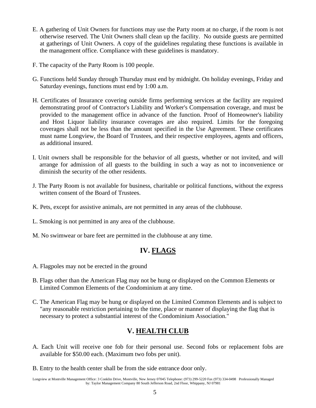- E. A gathering of Unit Owners for functions may use the Party room at no charge, if the room is not otherwise reserved. The Unit Owners shall clean up the facility. No outside guests are permitted at gatherings of Unit Owners. A copy of the guidelines regulating these functions is available in the management office. Compliance with these guidelines is mandatory.
- F. The capacity of the Party Room is 100 people.
- G. Functions held Sunday through Thursday must end by midnight. On holiday evenings, Friday and Saturday evenings, functions must end by 1:00 a.m.
- H. Certificates of Insurance covering outside firms performing services at the facility are required demonstrating proof of Contractor's Liability and Worker's Compensation coverage, and must be provided to the management office in advance of the function. Proof of Homeowner's liability and Host Liquor liability insurance coverages are also required. Limits for the foregoing coverages shall not be less than the amount specified in the Use Agreement. These certificates must name Longview, the Board of Trustees, and their respective employees, agents and officers, as additional insured.
- I. Unit owners shall be responsible for the behavior of all guests, whether or not invited, and will arrange for admission of all guests to the building in such a way as not to inconvenience or diminish the security of the other residents.
- J. The Party Room is not available for business, charitable or political functions, without the express written consent of the Board of Trustees.
- K. Pets, except for assistive animals, are not permitted in any areas of the clubhouse.
- L. Smoking is not permitted in any area of the clubhouse.
- M. No swimwear or bare feet are permitted in the clubhouse at any time.

# **IV. FLAGS**

- A. Flagpoles may not be erected in the ground
- B. Flags other than the American Flag may not be hung or displayed on the Common Elements or Limited Common Elements of the Condominium at any time.
- C. The American Flag may be hung or displayed on the Limited Common Elements and is subject to "any reasonable restriction pertaining to the time, place or manner of displaying the flag that is necessary to protect a substantial interest of the Condominium Association."

# **V. HEALTH CLUB**

- A. Each Unit will receive one fob for their personal use. Second fobs or replacement fobs are available for \$50.00 each. (Maximum two fobs per unit).
- B. Entry to the health center shall be from the side entrance door only.

Longview at Montville Management Office: 3 Conklin Drive, Montville, New Jersey 07045 Telephone: (973) 299-5220 Fax (973) 334-0498 Professionally Managed by: Taylor Management Company 80 South Jefferson Road, 2nd Floor, Whippany, NJ 07981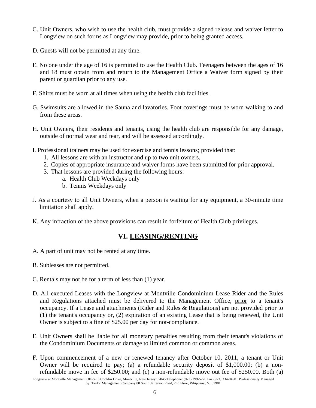- C. Unit Owners, who wish to use the health club, must provide a signed release and waiver letter to Longview on such forms as Longview may provide, prior to being granted access.
- D. Guests will not be permitted at any time.
- E. No one under the age of 16 is permitted to use the Health Club. Teenagers between the ages of 16 and 18 must obtain from and return to the Management Office a Waiver form signed by their parent or guardian prior to any use.
- F. Shirts must be worn at all times when using the health club facilities.
- G. Swimsuits are allowed in the Sauna and lavatories. Foot coverings must be worn walking to and from these areas.
- H. Unit Owners, their residents and tenants, using the health club are responsible for any damage, outside of normal wear and tear, and will be assessed accordingly.
- I. Professional trainers may be used for exercise and tennis lessons; provided that:
	- 1. All lessons are with an instructor and up to two unit owners.
	- 2. Copies of appropriate insurance and waiver forms have been submitted for prior approval.
	- 3. That lessons are provided during the following hours:
		- a. Health Club Weekdays only
		- b. Tennis Weekdays only
- J. As a courtesy to all Unit Owners, when a person is waiting for any equipment, a 30-minute time limitation shall apply.
- K. Any infraction of the above provisions can result in forfeiture of Health Club privileges.

#### **VI. LEASING/RENTING**

- A. A part of unit may not be rented at any time.
- B. Subleases are not permitted.
- C. Rentals may not be for a term of less than (1) year.
- D. All executed Leases with the Longview at Montville Condominium Lease Rider and the Rules and Regulations attached must be delivered to the Management Office, prior to a tenant's occupancy. If a Lease and attachments (Rider and Rules & Regulations) are not provided prior to (1) the tenant's occupancy or, (2) expiration of an existing Lease that is being renewed, the Unit Owner is subject to a fine of \$25.00 per day for not-compliance.
- E. Unit Owners shall be liable for all monetary penalties resulting from their tenant's violations of the Condominium Documents or damage to limited common or common areas.
- F. Upon commencement of a new or renewed tenancy after October 10, 2011, a tenant or Unit Owner will be required to pay; (a) a refundable security deposit of \$1,000.00; (b) a nonrefundable move in fee of \$250.00; and (c) a non-refundable move out fee of \$250.00. Both (a)

Longview at Montville Management Office: 3 Conklin Drive, Montville, New Jersey 07045 Telephone: (973) 299-5220 Fax (973) 334-0498 Professionally Managed by: Taylor Management Company 80 South Jefferson Road, 2nd Floor, Whippany, NJ 07981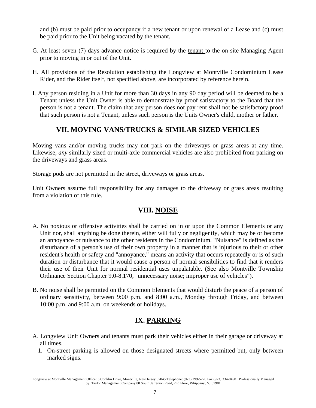and (b) must be paid prior to occupancy if a new tenant or upon renewal of a Lease and (c) must be paid prior to the Unit being vacated by the tenant.

- G. At least seven (7) days advance notice is required by the tenant to the on site Managing Agent prior to moving in or out of the Unit.
- H. All provisions of the Resolution establishing the Longview at Montville Condominium Lease Rider, and the Rider itself, not specified above, are incorporated by reference herein.
- I. Any person residing in a Unit for more than 30 days in any 90 day period will be deemed to be a Tenant unless the Unit Owner is able to demonstrate by proof satisfactory to the Board that the person is not a tenant. The claim that any person does not pay rent shall not be satisfactory proof that such person is not a Tenant, unless such person is the Units Owner's child, mother or father.

#### **VII. MOVING VANS/TRUCKS & SIMILAR SIZED VEHICLES**

Moving vans and/or moving trucks may not park on the driveways or grass areas at any time. Likewise, *any* similarly sized or multi-axle commercial vehicles are also prohibited from parking on the driveways and grass areas.

Storage pods are not permitted in the street, driveways or grass areas.

Unit Owners assume full responsibility for any damages to the driveway or grass areas resulting from a violation of this rule.

### **VIII. NOISE**

- A. No noxious or offensive activities shall be carried on in or upon the Common Elements or any Unit nor, shall anything be done therein, either will fully or negligently, which may be or become an annoyance or nuisance to the other residents in the Condominium. "Nuisance" is defined as the disturbance of a person's use of their own property in a manner that is injurious to their or other resident's health or safety and "annoyance," means an activity that occurs repeatedly or is of such duration or disturbance that it would cause a person of normal sensibilities to find that it renders their use of their Unit for normal residential uses unpalatable. (See also Montville Township Ordinance Section Chapter 9.0-8.170, "unnecessary noise; improper use of vehicles").
- B. No noise shall be permitted on the Common Elements that would disturb the peace of a person of ordinary sensitivity, between 9:00 p.m. and 8:00 a.m., Monday through Friday, and between 10:00 p.m. and 9:00 a.m. on weekends or holidays.

### **IX. PARKING**

- A. Longview Unit Owners and tenants must park their vehicles either in their garage or driveway at all times.
	- 1. On-street parking is allowed on those designated streets where permitted but, only between marked signs.

Longview at Montville Management Office: 3 Conklin Drive, Montville, New Jersey 07045 Telephone: (973) 299-5220 Fax (973) 334-0498 Professionally Managed by: Taylor Management Company 80 South Jefferson Road, 2nd Floor, Whippany, NJ 07981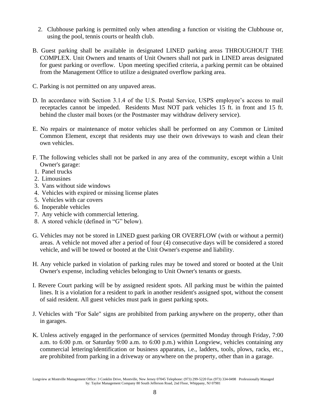- 2. Clubhouse parking is permitted only when attending a function or visiting the Clubhouse or, using the pool, tennis courts or health club.
- B. Guest parking shall be available in designated LINED parking areas THROUGHOUT THE COMPLEX. Unit Owners and tenants of Unit Owners shall not park in LINED areas designated for guest parking or overflow. Upon meeting specified criteria, a parking permit can be obtained from the Management Office to utilize a designated overflow parking area.
- C. Parking is not permitted on any unpaved areas.
- D. In accordance with Section 3.1.4 of the U.S. Postal Service, USPS employee's access to mail receptacles cannot be impeded. Residents Must NOT park vehicles 15 ft. in front and 15 ft. behind the cluster mail boxes (or the Postmaster may withdraw delivery service).
- E. No repairs or maintenance of motor vehicles shall be performed on any Common or Limited Common Element, except that residents may use their own driveways to wash and clean their own vehicles.
- F. The following vehicles shall not be parked in any area of the community, except within a Unit Owner's garage:
- 1. Panel trucks
- 2. Limousines
- 3. Vans without side windows
- 4. Vehicles with expired or missing license plates
- 5. Vehicles with car covers
- 6. Inoperable vehicles
- 7. Any vehicle with commercial lettering.
- 8. A stored vehicle (defined in "G" below).
- G. Vehicles may not be stored in LINED guest parking OR OVERFLOW (with or without a permit) areas. A vehicle not moved after a period of four (4) consecutive days will be considered a stored vehicle, and will be towed or booted at the Unit Owner's expense and liability.
- H. Any vehicle parked in violation of parking rules may be towed and stored or booted at the Unit Owner's expense, including vehicles belonging to Unit Owner's tenants or guests.
- I. Revere Court parking will be by assigned resident spots. All parking must be within the painted lines. It is a violation for a resident to park in another resident's assigned spot, without the consent of said resident. All guest vehicles must park in guest parking spots.
- J. Vehicles with "For Sale" signs are prohibited from parking anywhere on the property, other than in garages.
- K. Unless actively engaged in the performance of services (permitted Monday through Friday, 7:00 a.m. to 6:00 p.m. or Saturday 9:00 a.m. to 6:00 p.m.) within Longview, vehicles containing any commercial lettering/identification or business apparatus, i.e., ladders, tools, plows, racks, etc., are prohibited from parking in a driveway or anywhere on the property, other than in a garage.

Longview at Montville Management Office: 3 Conklin Drive, Montville, New Jersey 07045 Telephone: (973) 299-5220 Fax (973) 334-0498 Professionally Managed by: Taylor Management Company 80 South Jefferson Road, 2nd Floor, Whippany, NJ 07981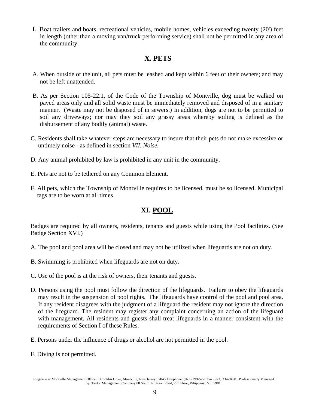L. Boat trailers and boats, recreational vehicles, mobile homes, vehicles exceeding twenty (20') feet in length (other than a moving van/truck performing service) shall not be permitted in any area of the community.

# **X. PETS**

- A. When outside of the unit, all pets must be leashed and kept within 6 feet of their owners; and may not be left unattended.
- B. As per Section 105-22.1, of the Code of the Township of Montville, dog must be walked on paved areas only and all solid waste must be immediately removed and disposed of in a sanitary manner. (Waste may not be disposed of in sewers.) In addition, dogs are not to be permitted to soil any driveways; nor may they soil any grassy areas whereby soiling is defined as the disbursement of any bodily (animal) waste.
- C. Residents shall take whatever steps are necessary to insure that their pets do not make excessive or untimely noise - as defined in section *VII. Noise.*
- D. Any animal prohibited by law is prohibited in any unit in the community.
- E. Pets are not to be tethered on any Common Element.
- F. All pets, which the Township of Montville requires to be licensed, must be so licensed. Municipal tags are to be worn at all times.

#### **XI. POOL**

Badges are required by all owners, residents, tenants and guests while using the Pool facilities. (See Badge Section XVI.)

- A. The pool and pool area will be closed and may not be utilized when lifeguards are not on duty.
- B. Swimming is prohibited when lifeguards are not on duty.
- C. Use of the pool is at the risk of owners, their tenants and guests.
- D. Persons using the pool must follow the direction of the lifeguards. Failure to obey the lifeguards may result in the suspension of pool rights. The lifeguards have control of the pool and pool area. If any resident disagrees with the judgment of a lifeguard the resident may not ignore the direction of the lifeguard. The resident may register any complaint concerning an action of the lifeguard with management. All residents and guests shall treat lifeguards in a manner consistent with the requirements of Section I of these Rules.
- E. Persons under the influence of drugs or alcohol are not permitted in the pool.
- F. Diving is not permitted.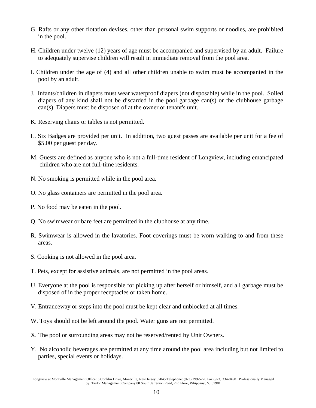- G. Rafts or any other flotation devises, other than personal swim supports or noodles, are prohibited in the pool.
- H. Children under twelve (12) years of age must be accompanied and supervised by an adult. Failure to adequately supervise children will result in immediate removal from the pool area.
- I. Children under the age of (4) and all other children unable to swim must be accompanied in the pool by an adult.
- J. Infants/children in diapers must wear waterproof diapers (not disposable) while in the pool. Soiled diapers of any kind shall not be discarded in the pool garbage can(s) or the clubhouse garbage can(s). Diapers must be disposed of at the owner or tenant's unit.
- K. Reserving chairs or tables is not permitted.
- L. Six Badges are provided per unit. In addition, two guest passes are available per unit for a fee of \$5.00 per guest per day.
- M. Guests are defined as anyone who is not a full-time resident of Longview, including emancipated children who are not full-time residents.
- N. No smoking is permitted while in the pool area.
- O. No glass containers are permitted in the pool area.
- P. No food may be eaten in the pool.
- Q. No swimwear or bare feet are permitted in the clubhouse at any time.
- R. Swimwear is allowed in the lavatories. Foot coverings must be worn walking to and from these areas.
- S. Cooking is not allowed in the pool area.
- T. Pets, except for assistive animals, are not permitted in the pool areas.
- U. Everyone at the pool is responsible for picking up after herself or himself, and all garbage must be disposed of in the proper receptacles or taken home.
- V. Entranceway or steps into the pool must be kept clear and unblocked at all times.
- W. Toys should not be left around the pool. Water guns are not permitted.
- X. The pool or surrounding areas may not be reserved/rented by Unit Owners.
- Y. No alcoholic beverages are permitted at any time around the pool area including but not limited to parties, special events or holidays.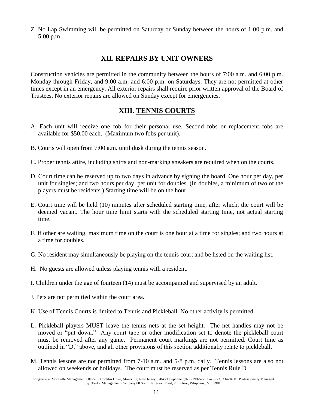Z. No Lap Swimming will be permitted on Saturday or Sunday between the hours of 1:00 p.m. and 5:00 p.m.

#### **XII. REPAIRS BY UNIT OWNERS**

Construction vehicles are permitted in the community between the hours of 7:00 a.m. and 6:00 p.m. Monday through Friday, and 9:00 a.m. and 6:00 p.m. on Saturdays. They are not permitted at other times except in an emergency. All exterior repairs shall require prior written approval of the Board of Trustees. No exterior repairs are allowed on Sunday except for emergencies.

#### **XIII. TENNIS COURTS**

- A. Each unit will receive one fob for their personal use. Second fobs or replacement fobs are available for \$50.00 each. (Maximum two fobs per unit).
- B. Courts will open from 7:00 a.m. until dusk during the tennis season.
- C. Proper tennis attire, including shirts and non-marking sneakers are required when on the courts.
- D. Court time can be reserved up to two days in advance by signing the board. One hour per day, per unit for singles; and two hours per day, per unit for doubles. (In doubles, a minimum of two of the players must be residents.) Starting time will be on the hour.
- E. Court time will be held (10) minutes after scheduled starting time, after which, the court will be deemed vacant. The hour time limit starts with the scheduled starting time, not actual starting time.
- F. If other are waiting, maximum time on the court is one hour at a time for singles; and two hours at a time for doubles.
- G. No resident may simultaneously be playing on the tennis court and be listed on the waiting list.
- H. No guests are allowed unless playing tennis with a resident.
- I. Children under the age of fourteen (14) must be accompanied and supervised by an adult.
- J. Pets are not permitted within the court area.
- K. Use of Tennis Courts is limited to Tennis and Pickleball. No other activity is permitted.
- L. Pickleball players MUST leave the tennis nets at the set height. The net handles may not be moved or "put down." Any court tape or other modification set to denote the pickleball court must be removed after any game. Permanent court markings are not permitted. Court time as outlined in "D." above, and all other provisions of this section additionally relate to pickleball.
- M. Tennis lessons are not permitted from 7-10 a.m. and 5-8 p.m. daily. Tennis lessons are also not allowed on weekends or holidays. The court must be reserved as per Tennis Rule D.

Longview at Montville Management Office: 3 Conklin Drive, Montville, New Jersey 07045 Telephone: (973) 299-5220 Fax (973) 334-0498 Professionally Managed by: Taylor Management Company 80 South Jefferson Road, 2nd Floor, Whippany, NJ 07981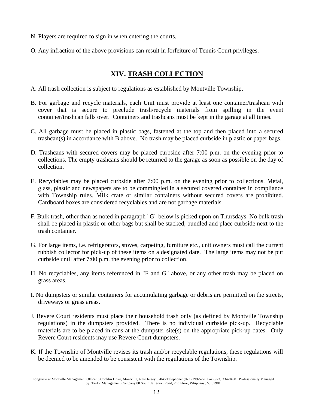- N. Players are required to sign in when entering the courts.
- O. Any infraction of the above provisions can result in forfeiture of Tennis Court privileges.

#### **XIV. TRASH COLLECTION**

- A. All trash collection is subject to regulations as established by Montville Township.
- B. For garbage and recycle materials, each Unit must provide at least one container/trashcan with cover that is secure to preclude trash/recycle materials from spilling in the event container/trashcan falls over. Containers and trashcans must be kept in the garage at all times.
- C. All garbage must be placed in plastic bags, fastened at the top and then placed into a secured trashcan(s) in accordance with B above. No trash may be placed curbside in plastic or paper bags.
- D. Trashcans with secured covers may be placed curbside after 7:00 p.m. on the evening prior to collections. The empty trashcans should be returned to the garage as soon as possible on the day of collection.
- E. Recyclables may be placed curbside after 7:00 p.m. on the evening prior to collections. Metal, glass, plastic and newspapers are to be commingled in a secured covered container in compliance with Township rules. Milk crate or similar containers without secured covers are prohibited. Cardboard boxes are considered recyclables and are not garbage materials.
- F. Bulk trash, other than as noted in paragraph "G" below is picked upon on Thursdays. No bulk trash shall be placed in plastic or other bags but shall be stacked, bundled and place curbside next to the trash container.
- G. For large items, i.e. refrigerators, stoves, carpeting, furniture etc., unit owners must call the current rubbish collector for pick-up of these items on a designated date. The large items may not be put curbside until after 7:00 p.m. the evening prior to collection.
- H. No recyclables, any items referenced in "F and G" above, or any other trash may be placed on grass areas.
- I. No dumpsters or similar containers for accumulating garbage or debris are permitted on the streets, driveways or grass areas.
- J. Revere Court residents must place their household trash only (as defined by Montville Township regulations) in the dumpsters provided. There is no individual curbside pick-up. Recyclable materials are to be placed in cans at the dumpster site(s) on the appropriate pick-up dates. Only Revere Court residents may use Revere Court dumpsters.
- K. If the Township of Montville revises its trash and/or recyclable regulations, these regulations will be deemed to be amended to be consistent with the regulations of the Township.

Longview at Montville Management Office: 3 Conklin Drive, Montville, New Jersey 07045 Telephone: (973) 299-5220 Fax (973) 334-0498 Professionally Managed by: Taylor Management Company 80 South Jefferson Road, 2nd Floor, Whippany, NJ 07981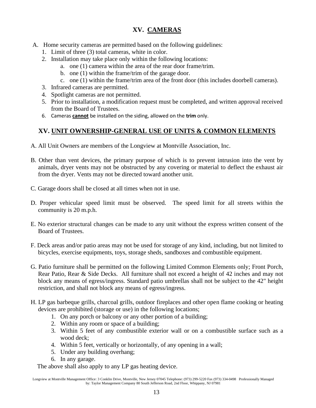#### **XV. CAMERAS**

- A. Home security cameras are permitted based on the following guidelines:
	- 1. Limit of three (3) total cameras, white in color.
	- 2. Installation may take place only within the following locations:
		- a. one (1) camera within the area of the rear door frame/trim.
		- b. one (1) within the frame/trim of the garage door.
		- c. one (1) within the frame/trim area of the front door (this includes doorbell cameras).
	- 3. Infrared cameras are permitted.
	- 4. Spotlight cameras are not permitted.
	- 5. Prior to installation, a modification request must be completed, and written approval received from the Board of Trustees.
	- 6. Cameras **cannot** be installed on the siding, allowed on the **trim** only.

#### **XV. UNIT OWNERSHIP-GENERAL USE OF UNITS & COMMON ELEMENTS**

- A. All Unit Owners are members of the Longview at Montville Association, Inc.
- B. Other than vent devices, the primary purpose of which is to prevent intrusion into the vent by animals, dryer vents may not be obstructed by any covering or material to deflect the exhaust air from the dryer. Vents may not be directed toward another unit.
- C. Garage doors shall be closed at all times when not in use.
- D. Proper vehicular speed limit must be observed. The speed limit for all streets within the community is 20 m.p.h.
- E. No exterior structural changes can be made to any unit without the express written consent of the Board of Trustees.
- F. Deck areas and/or patio areas may not be used for storage of any kind, including, but not limited to bicycles, exercise equipments, toys, storage sheds, sandboxes and combustible equipment.
- G. Patio furniture shall be permitted on the following Limited Common Elements only; Front Porch, Rear Patio, Rear & Side Decks. All furniture shall not exceed a height of 42 inches and may not block any means of egress/ingress. Standard patio umbrellas shall not be subject to the 42" height restriction, and shall not block any means of egress/ingress.
- H. LP gas barbeque grills, charcoal grills, outdoor fireplaces and other open flame cooking or heating devices are prohibited (storage or use) in the following locations;
	- 1. On any porch or balcony or any other portion of a building;
	- 2. Within any room or space of a building;
	- 3. Within 5 feet of any combustible exterior wall or on a combustible surface such as a wood deck;
	- 4. Within 5 feet, vertically or horizontally, of any opening in a wall;
	- 5. Under any building overhang;
	- 6. In any garage.

The above shall also apply to any LP gas heating device.

Longview at Montville Management Office: 3 Conklin Drive, Montville, New Jersey 07045 Telephone: (973) 299-5220 Fax (973) 334-0498 Professionally Managed by: Taylor Management Company 80 South Jefferson Road, 2nd Floor, Whippany, NJ 07981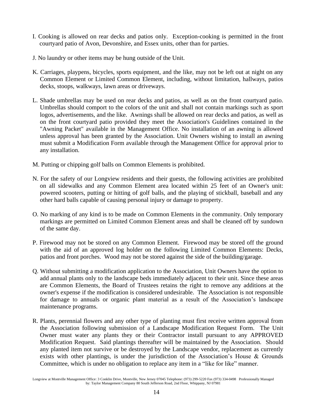- I. Cooking is allowed on rear decks and patios only. Exception-cooking is permitted in the front courtyard patio of Avon, Devonshire, and Essex units, other than for parties.
- J. No laundry or other items may be hung outside of the Unit.
- K. Carriages, playpens, bicycles, sports equipment, and the like, may not be left out at night on any Common Element or Limited Common Element, including, without limitation, hallways, patios decks, stoops, walkways, lawn areas or driveways.
- L. Shade umbrellas may be used on rear decks and patios, as well as on the front courtyard patio. Umbrellas should comport to the colors of the unit and shall not contain markings such as sport logos, advertisements, and the like. Awnings shall be allowed on rear decks and patios, as well as on the front courtyard patio provided they meet the Association's Guidelines contained in the "Awning Packet" available in the Management Office. No installation of an awning is allowed unless approval has been granted by the Association. Unit Owners wishing to install an awning must submit a Modification Form available through the Management Office for approval prior to any installation.
- M. Putting or chipping golf balls on Common Elements is prohibited.
- N. For the safety of our Longview residents and their guests, the following activities are prohibited on all sidewalks and any Common Element area located within 25 feet of an Owner's unit: powered scooters, putting or hitting of golf balls, and the playing of stickball, baseball and any other hard balls capable of causing personal injury or damage to property.
- O. No marking of any kind is to be made on Common Elements in the community. Only temporary markings are permitted on Limited Common Element areas and shall be cleaned off by sundown of the same day.
- P. Firewood may not be stored on any Common Element. Firewood may be stored off the ground with the aid of an approved log holder on the following Limited Common Elements: Decks, patios and front porches. Wood may not be stored against the side of the building/garage.
- Q. Without submitting a modification application to the Association, Unit Owners have the option to add annual plants only to the landscape beds immediately adjacent to their unit. Since these areas are Common Elements, the Board of Trustees retains the right to remove any additions at the owner's expense if the modification is considered undesirable. The Association is not responsible for damage to annuals or organic plant material as a result of the Association's landscape maintenance programs.
- R. Plants, perennial flowers and any other type of planting must first receive written approval from the Association following submission of a Landscape Modification Request Form. The Unit Owner must water any plants they or their Contractor install pursuant to any APPROVED Modification Request. Said plantings thereafter will be maintained by the Association. Should any planted item not survive or be destroyed by the Landscape vendor, replacement as currently exists with other plantings, is under the jurisdiction of the Association's House & Grounds Committee, which is under no obligation to replace any item in a "like for like" manner.

Longview at Montville Management Office: 3 Conklin Drive, Montville, New Jersey 07045 Telephone: (973) 299-5220 Fax (973) 334-0498 Professionally Managed by: Taylor Management Company 80 South Jefferson Road, 2nd Floor, Whippany, NJ 07981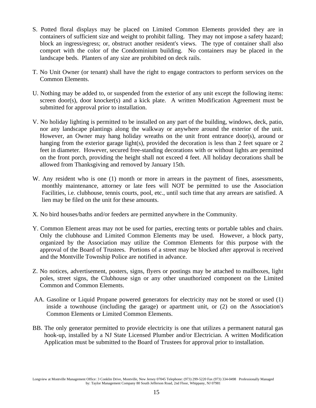- S. Potted floral displays may be placed on Limited Common Elements provided they are in containers of sufficient size and weight to prohibit falling. They may not impose a safety hazard; block an ingress/egress; or, obstruct another resident's views. The type of container shall also comport with the color of the Condominium building. No containers may be placed in the landscape beds. Planters of any size are prohibited on deck rails.
- T. No Unit Owner (or tenant) shall have the right to engage contractors to perform services on the Common Elements.
- U. Nothing may be added to, or suspended from the exterior of any unit except the following items: screen door(s), door knocker(s) and a kick plate. A written Modification Agreement must be submitted for approval prior to installation.
- V. No holiday lighting is permitted to be installed on any part of the building, windows, deck, patio, nor any landscape plantings along the walkway or anywhere around the exterior of the unit. However, an Owner may hang holiday wreaths on the unit front entrance door(s), around or hanging from the exterior garage light(s), provided the decoration is less than 2 feet square or 2 feet in diameter. However, secured free-standing decorations with or without lights are permitted on the front porch, providing the height shall not exceed 4 feet. All holiday decorations shall be allowed from Thanksgiving and removed by January 15th.
- W. Any resident who is one (1) month or more in arrears in the payment of fines, assessments, monthly maintenance, attorney or late fees will NOT be permitted to use the Association Facilities, i.e. clubhouse, tennis courts, pool, etc., until such time that any arrears are satisfied. A lien may be filed on the unit for these amounts.
- X. No bird houses/baths and/or feeders are permitted anywhere in the Community.
- Y. Common Element areas may not be used for parties, erecting tents or portable tables and chairs. Only the clubhouse and Limited Common Elements may be used. However, a block party, organized by the Association may utilize the Common Elements for this purpose with the approval of the Board of Trustees. Portions of a street may be blocked after approval is received and the Montville Township Police are notified in advance.
- Z. No notices, advertisement, posters, signs, flyers or postings may be attached to mailboxes, light poles, street signs, the Clubhouse sign or any other unauthorized component on the Limited Common and Common Elements.
- AA. Gasoline or Liquid Propane powered generators for electricity may not be stored or used (1) inside a townhouse (including the garage) or apartment unit, or (2) on the Association's Common Elements or Limited Common Elements.
- BB. The only generator permitted to provide electricity is one that utilizes a permanent natural gas hook-up, installed by a NJ State Licensed Plumber and/or Electrician. A written Modification Application must be submitted to the Board of Trustees for approval prior to installation.

Longview at Montville Management Office: 3 Conklin Drive, Montville, New Jersey 07045 Telephone: (973) 299-5220 Fax (973) 334-0498 Professionally Managed by: Taylor Management Company 80 South Jefferson Road, 2nd Floor, Whippany, NJ 07981